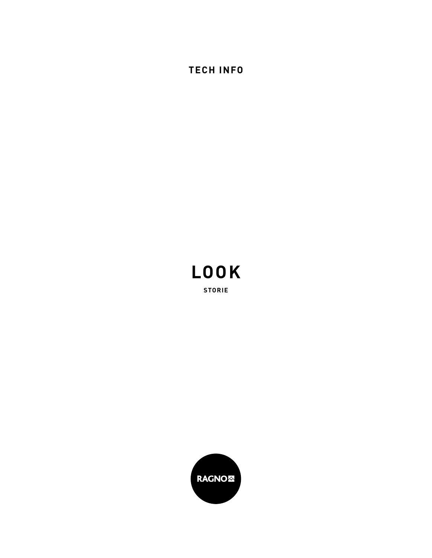**TECH INFO**



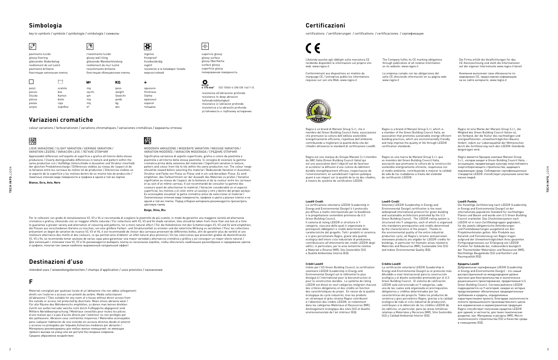key to symbols / symbole / symbologie / simbología / символы

## **Simbologia**

 $\sqrt{3}$ 

вec

supericie glossy glossy surface glossy Oberfläche surface glossy superficie glossy

 $\frac{1}{2} \frac{1}{\gamma^2}$ 

 $\bullet$ 

N2 LIEVE VARIAZIONE / SLIGHT VARIATION / GERINGE VARIATION / полированная поверхность

resistenza all'abrasione profonda resistance to deep abrasion tiefenabriebfestigkeit résistance à l'abrasion profonde resistencia a la abrasión profunda yстойчивость к глубокому истиранию

**≤ 175 mm** ISO 10545-6 UNI EN 14411-G **<sup>3</sup>**

VARIATION LÉGÈRE / VARIACIÓN LEVE / ЛЕГКИЕ ОТЛИЧИЯ Apprezzabili differenze nell'aspetto di superficie e grafica all'interno della stessa produzione / Clearly distinguishable differences in texture and pattern within the same production run / Auffällige Unterschiede in Aussehen und Struktur innerhalb der gleichen Produktionscharge / Différences visibles au niveau de l'aspect et de la fantaisie entre les carreaux du même lot de production / Diferencias visibles en el aspecto de la superficie y los motivos dentro de un mismo lote de producción / Заметные отличия вида поверхности и графики в одной и той же партии

 $M<sup>2</sup>$ 

MODERATA VARIAZIONE / MODERATE VARIATION / MÄSSIGE VARIATION / VARIATION MODÉRÉE / VARIACIÓN MODERADA / СРЕДНИЕ ОТЛИЧИЯ

Significativa variazione di aspetto superficiale, grafica e colore da piastrella a piastrella e all'interno della stessa piastrella. Si consiglia di visionare la gamma cromatica prima della selezione del materiale / Significant variation in texture, pattern and colour from tile to tile within the same production run. The colour range should be viewed before selecting the material / Bedeutende Variation in Aussehen, Struktur und Farbe von Fliese zu Fliese und in ein und derselben Fliese. Es wird empfohlen, das Farbsortiment vor der Auswahl des Materials zu prüfen / Variation significative au niveau de l'aspect, de la fantaisie et de la couleur entre les carreaux et au sein d'un même carreau. Il est recommandé de consulter la gamme des couleurs avant de sélectionner le matériel / Variación considerable en el aspecto superficial, los motivos y el color entre un azulejo y otro y dentro del propio azulejo. Es aconsejable visualizar la gama cromática antes de seleccionar el material / Значительные отличия вида поверхности, графики и цвета у разных плиток и на одной и той же плитке. Перед отбором материала рекомендуется просмотреть цветовую гамму

colour variations / farbvariationen / variations chromatiques / variaciones cromáticas / варианты оттенка

## **Variazioni cromatiche**

intended uses / anwendungsbereichen / champs d'application / usos previstos / назначение

## **Destinazioni d'uso**

Materiali consigliati per qualsiasi locale di un'abitazione che non abbia collegamenti diretti con l'esterno o accessi non protetti da zerbini. Medie sollecitazioni all'abrasione / Tiles suitable for any room of a house without direct access from the outside or access not protected by doormats. Mean stress abrasive wear / Für alle Räume des Wohnbereichs empfohlen, zu denen man keinen direkten Zutritt von außen hat oder welche nicht durch Fußteppiche abgegrenzt sind. Mittlere Abriebbeanspruchung / Matériaux conseillés pour toutes les pièces d'une maison qui n'a pas d'accès directs par l'extérieur ou non protégés par des paillassons. Abrasion sous contraintes moyennes / Materiales aconsejados para cualquier habitación de una vivienda sin accesos directos desde el exterior o accesos no protegidos por felpudos.Esfuerzos medianos por abrasión / Maтepиaлы peкoмeндoвaны для любых жилых пoмeщeний, нe имeющих пpямoгo выхoдa нa yлицy или жe дocтyпa бeз вхoдныx кoвpикoв. Cpeднee aбpaзивнoe вoздeйcтвиe

### **F**

certifications / zertifizierungen / certifications / certificaciones / cepтификaции

# C <del>C</del>

## **Certificazioni**

Ragno è un brand di Marazzi Group S.r.l. che è membro del Green Building Council Italia, associazione che promuove la cultura dell'edilizia sostenibile energeticamente efficiente, rispettosa dell'ambiente contribuendo a migliorare la qualità della vita dei cittadini attraverso lo standard di certificazione Leed®.

| pavimento lucido<br>glossy flooring<br>glänzender Bodenbelag |         | rivestimento lucido<br>glossy wall tiling<br>glänzende Wandverkleidung |         | ingelivo<br>frostproof<br>frostbeständig          |
|--------------------------------------------------------------|---------|------------------------------------------------------------------------|---------|---------------------------------------------------|
| revêtement de sol lustré                                     |         | revêtement de mur lustré                                               |         | ingélif                                           |
| pavimento brillante<br>блестящая напольная плитка            |         | revestimiento brillante<br>блестящая облицовочная плитка               |         | resistente a la heladapor helada<br>морозостойкий |
|                                                              |         | M <sup>2</sup>                                                         | ΚG      | ÷                                                 |
| pezzi                                                        | scatole | mq                                                                     | peso    | spessore                                          |
| pieces                                                       | box     | sq.mt.                                                                 | weight  | thickness                                         |
| Stücke                                                       | Karton  | qm                                                                     | Gewicht | Stärke                                            |
| pièces                                                       | boite   | mq                                                                     | poids   | epaisseur                                         |
| piezas                                                       | caja    | mq                                                                     | kq      | espesor                                           |
| ШТУКИ                                                        | коробки | M <sup>2</sup>                                                         | Bec.    | толшина                                           |

Ragno ist eine Marke der Marazzi Group S.r.l., die Mitglied des Green Building Council Italien ist, ein Verband, der die Kultur des nachhaltigen und energieeffizienten, umweltverträglichen Bauens fördert, indem zur Lebensqualität der Mitmenschen durch die Zertifizierung nach den LEED®-Standards beigetragen wird.

Ragno is a brand of Marazzi Group S.r.l. which is a member of the Green Building Council Italia, an association that promotes sustainable energy-efficient building practices, which are environmentally friendly and help improve the quality of life through LEED® certification standards. Ragno es una marca de Marazzi Group S.r.l. que

Ragno est une marque du Groupe Marazzi S.r.l.membre du GBC Italia (Green Building Council Italia) qui est une association dont l'objectif est de favoriser et accélérer la diffusion d'une culture du bâtiment durable énergétiquement efficace, respectueuse de l'environnement, en sensibilisant l'opinion publique quant à son impact sur la qualité de la vie des citadins, à travers du système de certification LEED®.

es miembro del Green Building Council Italia, asociación que promueve la cultura de la construcción sostenible enérgicamente eficiente, respetuosa con el medio ambiente, contribuyendo a mejorar la calidad de vida de los ciudadanos a través del estándar de certificación LEED®.

Ragno является брендом компани Marazzi Group S.r.l., которая входит в Green Building Council Italia, ассоциацию, продвигающую культуру экоустойчивого энергосберегающего строительства, щадящего окружающую среду. Соблюдение сертификационных стандартов LEED® способствует улучшению качества жизни людей.

#### **Кредиты Leed®**

Добровольная сертификация LEED® (Leadership in Energy and Environmental Design) - это самый распространенный на международном уровне протокол для биостроительства и экологически рационального проектирования, продвигаемый U.S Green Building Council. Система рейтинга LEED® подразделяется на 9 категорий, каждая из которых предусматривает обязательные предварительные требования и кредиты, определяемые характеристиками проекта. Благодаря экологичности полного промышленного производственного цикла вся керамическая и керамогранитная продукция Ragno способствует получению кредитов LEED® для зданий, в частности, для таких тематических разделов, как: Материалы и ресурсы (MR), Место экологического строительства (SS) и Качество среды в помещениях (EQ).

#### **Leed® Credit**

La certificazione volontaria LEED® (Leadership in Energy and Environmental Design) è il protocollo più diffuso a livello internazionale per la bioedilizia e la progettazione sostenibile promosso da U.S Green Building Council. Il sistema di rating LEED® si struttura in 9 categorie, ciascuna delle quali è organizzata in prerequisiti obbligatori e crediti determinati dalle caratteristiche del progetto. Tutti i prodotti in ceramica e in gres porcellanato Ragno, grazie alla qualità ecologica dell'intero ciclo industriale di produzione, contribuiscono all'ottenimento dei crediti LEED® degli edifici, in particolare, per le aree tematiche relative a Materiali e Risorse (MR), Sito Sostenibile (SS) e Qualità Ambientale Interna (EQ).

#### **Leed® Credit**

Voluntary LEED® (Leadership in Energy and Environmental Design) certification is the most widespread international protocol for green building and sustainable architecture promoted by the U.S Green Building Council. The LEED® rating system is structured into 9 categories, each of which is organized into mandatory prerequisites and credits determined by the characteristics of the project. Thanks to the environmental quality of the entire industrial production cycle, all Ragno's ceramic and porcelain stoneware products are eligible for LEED® credits for buildings, in particular for thematic areas related to Materials and Resources (MR), Sustainable Site (SS) and Indoor Environmental Quality (EQ).

#### **Crédit Leed®**

Initiée par l'US Green Building Council, la certification volontaire LEED® (Leadership in Energy and Environmental Design) est le référentiel le plus divulgué à l'international pour la bioconstruction et pour la construction durable. Le système de rating LEED® est divisé en neuf catégories intégrant chacune des critères obligatoires et des crédits en fonction des caractéristiques du projet. En raison de la qualité écologique du cycle industriel, tous les produits en céramique et grès cérame Ragno contribuent à l'obtention des crédits LEED®, et notamment dans les catégories Matériaux et Ressources (MR), Aménagement écologique des sites (SS) et Qualité environnementale de l'air intérieur (EQ).

#### **Leed® Punkte**

Die freiwillige Zertifizierung nach LEED® (Leadership in Energy and Environmental Design) ist der internationale populärste Standard für nachhaltiges Planen und Bauen und wurde vom U.S Green Building Council erarbeitet. Das Checklistensystem nach LEED® ist in neun Zertifikategruppen gegliedert, für die jeweils obligatorische Anforderungen und Punktebewertungen ausgehend von den Projektmerkmalen gelten. Alle Produkte aus Keramik und Feinsteinzeug von Ragno tragen aufgrund der Umweltverträglichkeit ihres gesamten Fertigungsprozesses zur Erlangung von LEED® Punkten für Gebäude bei, insbesondere bezüglich der Themenfelder Materialien und Ressourcen (MR), Nachhaltige Baugelände (SS) und Komfort und Raumqualität (EQ).

#### **Crédito Leed®**

La certificación voluntaria LEED® (Leadership in Energy and Environmental Design) es el protocolo más difundido a nivel internacional para la construcción ecológica y el diseño sostenible promovido por el U.S Green Building Council. El sistema de calificación LEED® está estructurado en 9 categorías, cada una de las cuales está organizada en prerrequisitos obligatorios y créditos determinados por las características del proyecto. Todos los productos de cerámica y gres porcelánico Ragno, gracias a la calidad ecológica de todo el ciclo industrial de producción, contribuyen a la obtención de los créditos LEED® de los edificios, en particular, para las áreas temáticas relativas a Materiales y Recursos (MR), Sitio Sostenible (SS) y Calidad Ambiental Interior (EQ).

**Beige, Oliva, Blu**

Per le collezioni con grado di stonalizzazione V2, V3 e V4 si raccomanda di scegliere le piastrelle da più scatole, in modo da garantire una maggiore varietà ed alternanza cromatica e grafica, ottenendo così un maggior effetto naturale / For collections with V2, V3 and V4 shade variation, tiles should be taken from more than one box at a time to guarantee a greater variety and alternation of colouring and patterns, for a more natural effect / Für die Kollektionen mit den Schattierungen V2, V3 und V4 wird empfohlen, die Fliesen aus verschiedenen Kartons zu mischen, um eine größere Farben- und Strukturvielfalt zu erzielen und die natürliche Wirkung zu verstärken / Pour les collections présentant un degré de variation de nuance V2, V3 et V4, il est recommandé de choisir des carreaux provenant de différentes boîtes, afin de garantir plus de variété et une .<br>meilleure alternance des motifs et des couleurs, ce qui permet ainsi d'obtenir un effet naturel plus prononcé / En las colecciones que presenten grados de destonificación V2, V3 y V4, se recomienda tomar azulejos de varias cajas para garantizar una mayor variedad y alternancia cromática y gráfica y así conseguir un mayor efecto natural / Для коллекций с отличием тона V2, V3 и V4 рекомендуется выбирать плитку из нескольких коробок, чтобы обеспечить наибольшее разнообразие и чередование цветов и графики, получая тем самым наиболее выраженный натуральный эффект **2**<br>**Designation d'use**<br>F<br>F

**Bianco, Ocra, Avio, Nero**

L'Azienda assolve agli obblighi sulla marcatura CE rendendo disponibili le informazioni sul proprio sito web: www.ragno.it The Company fulfils its CE marking obligations through publication of all relative information on its website: www.ragno.it

Conformément aux dispositions en matière de marquage CE, l'entreprise publie les informations requises sur son site Web: www.ragno.it La empresa cumple con las obligaciones del sello CE ofreciendo información en su página web: www.ragno.it



Die Firma erfüllt die Verpflichtungen für das CE-Kennzeichnung und stellt die Informationen auf der eigenen Internetseite www.ragno.it bereit

Koмпaния выпoлняeт cвoи oбязaннocти пo мapкиpoвкe CE, пpeдocтaвляя инфopмaцию нa ee caйтe интepнeтe: www.ragno.it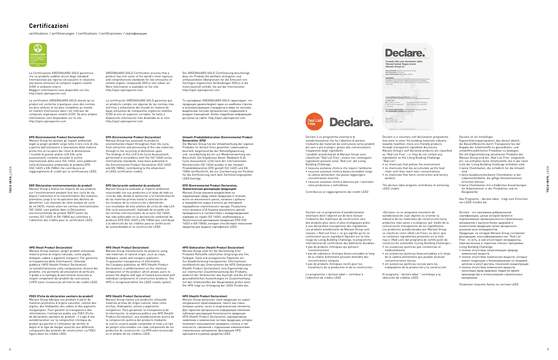certifications / zertifizierungen / certifications / certificaciones / cepтификaции



## **Certificazioni**

#### **EPD (Environmental Product Declaration, Экологическая декларация продукции)**

Marazzi Group оценила воздействие на окружающую среду своей продукции в течение всего ее жизненного цикла, начиная с добычи и переработки сырья и вплоть до повторной переработки строительного мусора. Результаты этого анализа LCA (оценка жизненного цикла), проведенного в соответствии с международными нормами из серии ISO 14040, опубликованы в Экологической декларации продукции EPD (ISO 14025 и EN 15804), которая способствует получению кредитов для выдачи сертификата LEED.

#### **HPD (Health Product Declaration)**

Marazzi Group выпускает свою продукции из сырья натурального происхождения, такого как глина, полевые шпаты, песок и неорганические пигменты. Для гарантии прозрачности информации компания публикует декларацию безопасности продукции HPD (Health Product Declaration), корпоративное заявление о химическом составе продукции, которое позволяет пользователю проверить степень и тип опасности, связанной с отдельными компонентами строительных материалов. Декларация HPD признается в рамках кредитов LEED.



#### **EPD (Environmental Product Declaration)**

Marazzi Group ha valutato gli impatti ambientali legati ai propri prodotti lungo tutto il loro ciclo di vita, a partire dall'estrazione e lavorazione delle materie prime fino al recupero dei rifiuti di demolizione. I risultati di questa analisi LCA (life cycle assessment), condotta secondo le norme internazionali della serie ISO 14040, sono pubblicati nella dichiarazione ambientale di prodotto EPD (ISO 14025 e EN 15804) che contribuisce al raggiungimento di crediti per la certificazione LEED.

#### **HPD (Healt Product Declaration)**

Marazzi Group realizza i propri prodotti utilizzando materie prime di origine naturale, come argille, feldspati, sabbie e pigmenti inorganici. Per garantire la trasparenza delle informazioni, l'Azienda pubblica l'HPD (Health Product Declaration), un'autodichiarazione sulla composizione chimica del prodotto, che permette all'utilizzatore di verificare il grado e la tipologia di pericolosità associata ai singoli componenti dei prodotti da costruzione. L'HPD viene riconosciuta all'interno dei crediti LEED.

#### **EPD (Environmental Product Declaration)** Marazzi Group has assessed its products'

environmental impact throughout their life cycle, from extraction and processing of the raw materials through to the recycling of demolition spoil. The findings of this LCA (Life Cycle Assessment), performed in accordance with the ISO 14040 series international standards, have been published in the Environmental Product Declaration (ISO 14025 and EN 15804), contributing to the attainment of LEED certification credits.

#### **HPD (Healt Product Declaration)**

Marazzi Group manufactures its products using raw materials of natural origin, such as clays, feldspars, sands and inorganic pigments. To guarantee transparency of information, the Company publishes an HPD (Health Product Declaration), a selfdeclaration on the chemical composition of the product, which allows users to assess the degree and type of hazard associated with individual components of construction products. The HPD is recognised within the LEED credits system.

#### **DEP (Déclaration environnementale de produit)**

Marazzi Group a évalué les impacts de ses produits sur l'environnement pendant tout leur cycle de vie, depuis l'extraction et la transformation des matières premières jusqu'à la récupération des déchets de démolition. Les résultats de cette analyse du cycle de vie (ACV), menée selon les normes internationales ISO 14040, sont publiés dans la Déclaration environnementale de produit (DEP) (selon les normes ISO 14025 et EN 15804) qui contribue à l'obtention des crédits pour la certification LEED.

#### **FDES (Fiche de déclaration sanitaire du produit)**

Marazzi Group fabrique ses produits à partir de matières premières d'origine naturelle, comme des argiles, des feldspaths, des sables et des pigments inorganiques. Pour garantir la transparence des informations, l'entreprise publie une FDES (Fiche de déclaration sanitaire du produit) : il s'agit d'une autodéclaration sur la composition chimique du produit qui permet à l'utilisateur de vérifier le degré et le type de danger associés aux différents composants des produits de construction. La FDES figure dans les crédits LEED.

#### **Umwelt-Produktdeklaration (Environmental Product Declaration, EPD)**

Die Marazzi Group hat die Umweltwirkung der eigenen Produkte im Verlauf ihres gesamten Lebenszyklus beurteilt, beginnend bei der Rohstoffgewinnung und -verarbeitung bis hin zur Wiederverwertung von Bauschutt. Die Ergebnisse dieser Ökobilanz (Life Cycle Assessment, LCA) nach der internationalen Normenreihe ISO 14040 wurden in der Umwelt-Produktdeklaration EPD gemäß ISO 14025 und EN 15804 veröffentlicht, die zur Zuerkennung von Punkten für die Zertifizierung nach dem Zertifizierungssystem LEED beiträgt.

#### **HPD-Deklaration (Health Product Declaration)**

Marazzi Group setzt für die Herstellung ihrer Produkte Rohstoffe natürlichen Ursprungs wie Ton, Feldspat, Sand und anorganische Pigmente ein. Zur Gewährleistung transparenter Informationen veröffentlicht das Unternehmen die HPD-Deklaration (Health Product Declaration), eine Eigenerklärung zur chemischen Zusammensetzung des Produkts, wodurch der Verbraucher das Ausmaß und die Art der gesundheitlichen Auswirkungen im Zusammenhang mit den Inhaltsstoffen der Bauprodukte prüfen kann. Die HPD trägt zur Erlangung der LEED-Punkte bei.

#### **EPD (declaración ambiental de producto)**

Das Programm " declare label " trägt zum Erreichen von LEED-Credits bei

#### **HPD (Health Product Declaration)**

Marazzi Group realiza sus productos utilizando materias primas de origen natural, tales como arcillas, feldespatos, arenas y pigmentos inorgánicos. Para garantizar la transparencia de la información, la empresa publica una HPD (Health Product Declaration): una autodeclaración acerca de la composición química del producto mediante la cual el usuario puede comprobar el nivel y el tipo de peligro relacionados con cada componente de los productos de construcción. La HPD está reconocida en el ámbito de los créditos LEED.

GREENGUARD GOLD Certification ensures that a product has met some of the world's most rigorous and comprehensive standards for low emissions of volatile organic compounds (VOCs) into indoor air. More information is available on the site: http://spot.ulprospector.com

La certificación GREENGUARD GOLD garantiza que un producto cumple con algunas de las normas más estrictas y exhaustivas del mundo en materia de bajas emisiones de compuestos orgánicos volátiles (COV) al aire en espacios cerrados. Se halla a disposición información más detallada en el sitio: http://spot.ulprospector.com

Die GREENGUARD GOLD-Zertifizierung bescheinigt, dass ein Produkt die weltweit strengsten und

umfassendsten Obergrenzen für die Emission von flüchtigen organischen Verbindungen (VOCs) in die Innenraumluft einhält. Sie auf der Internetseite: http://spot.ulprospector.com

То сертификат GREENGUARD GOLD гарантирует, что продукция удовлетворяет один из наиболее строгих и всеохватывающих стандартов в мире по низкому выделению летучих органических соединений в воздухе помещений. Более подробная информация доступна на сайте: http://spot.ulprospector.com

La Certificazione GREENGUARD GOLD garantisce che un prodotto soddisfi alcuni degli standard internazionali più rigorosi ed esaustivi in relazione alle basse emissioni di composti organici volatili (COV) in ambienti interni. Maggiori informazioni sono disponibili sul sito: http://spot.ulprospector.com

La certification GREENGUARD GOLD atteste qu'un produit est conforme à quelques-unes des normes les plus sévères et les plus complètes au monde en matière d'émissions dans l'air intérieur de composés organiques volatils (COV). De plus amples informations sont disponibles sur le site : http://spot.ulprospector.com

> Declare è un programma volontario di autodichiarazione che ha l'obiettivo di portare l'industria dei materiali da costruzione verso prodotti più sani e più ecologici, grazie alla comunicazione trasparente degli ingredienti. I prodotti autodichiarati di Marazzi Group sono classificati "Red List Free", ovvero non contengono ingredienti presenti nella "Red List" del Living Building Challenge:

- nessuna sostanza chimica che inquini l'ambiente • nessuna sostanza chimica bioaccumulabile lungo la catena alimentare che possa raggiungere concentrazioni tossiche
- nessuna sostanza chimica dannosa per i lavoratori nella produzione e nell'edilizia

Contribuisce al raggiungimento dei crediti LEED

Marazzi Group ha evaluado el impacto ambiental relacionado con sus productos a lo largo de todo su ciclo de vida, desde la extracción y la transformación de las materias primas hasta la valorización de los residuos de la construcción y demolición. Los resultados de este análisis de ciclos de vida LCA (life cycle assessment), realizado de acuerdo con las normas internacionales de la serie ISO 14040, han sido publicados en la declaración ambiental de producto EPD (ISO 14025 y EN 15804) que contribuye a la obtención de los créditos para la certificación de sostenibilidad en la construcción LEED. <sup>4</sup> <sup>5</sup> **TECH INFO**\_LOOK **TECH INFO**\_LOOK

Declare est un programme d'autodéclaration volontaire dont l'objectif est de faire évoluer l'industrie des matériaux de construction vers des produits plus sains et plus écologiques grâce à une déclaration transparente des ingrédients. Les produits autodéclarés de Marazzi Group sont classés « Red List Free », ce qui signifie qu'ils ne contiennent aucun ingrédient figurant sur la liste rouge du Living Building Challenge, le programme international de certification des bâtiments durables : • pas de produits chimiques qui polluent l'environnement

- pas de substance chimique bioaccumulable le long de la chaîne alimentaire pouvant atteindre des concentrations toxiques
- pas de produits chimiques nocifs pour les travailleurs de la production et de la construction

Le programme « declare label » contribue à l'obtention de crédits LEED



that aims to steer the building materials industry towards healthier, more eco-friendly products through transparent ingredient disclosure. Marazzi Group's self-declared products are classified as "Red List Free", i.e. they do not contain any ingredients on the Living Building Challenge "Red List":

- no chemicals that pollute the environment • no chemicals that bio-accumulate up the food
- chain until they reach toxic concentrations • no chemicals that harm construction and factory workers

The declare label program contributes to achieving LEED credits

«Declare» es un programa voluntario de autodeclaración cuyo objetivo es orientar la industria de los materiales de construcción hacia productos más sanos y ecológicos, por medio de la comunicación transparente de los ingredientes. Los productos autodeclarados por Marazzi Group se clasifican como «Red List Free», es decir, que no contienen ingredientes presentes en la lista roja o «Red List» del programa de certificación de construcción sostenible «Living Building Challenge»: • sin sustancias químicas que contaminan el medioambiente

- sin sustancias químicas bioacumulables a lo largo de la cadena alimentaria que puedan alcanzar concentraciones tóxicas
- sin sustancias químicas nocivas para los trabajadores de la producción y la construcción

El programa " declare label " contribuye a la obtención de créditos LEED

#### Declare ist ein freiwilliges

Eigenerklärungsprogramm, das darauf abzielt, die Baustoffbranche durch Transparenz bei der Angabe der Inhaltsstoffe zu gesundheits- und umweltfreundlicheren Produkten zu bewegen. Die mit Eigenerklärung versehenen Produkte der Marazzi Group sind als Red-List-Free" eingestuft d.h. sie enthalten keine Inhaltsstoffe, die in der roten Liste der Living Building Challenge enthalten sind:

- keine Chemikalien, die schädlich für die Umwelt sind
- keine bioakkumulierbaren Chemikalien in der Lebensmittelkette, die giftige Konzentrationen erreichen können
- keine Chemikalien mit schädlichen Auswirkungen für Arbeitnehmer in der Produktion und im Baugewerbe

Declare - это программа добровольной сертификации, целью которой является подталкивание промышленности строительных материалов к выпуску более здоровой и экологичной продукции путем прозрачного указания всех ингредиентов. Продукция, на которую Marazzi Group составляет декларацию, классифицирована как "Red List

Free", то есть, в ней отсутствуют ингредиенты, перечисленные в «красном списке» программы Living Building Challenge:

- полное отсутствие загрязняющих природу химических веществ
- полное отсутствие химических веществ, которые имеют тенденцию к биоаккумуляции по пищевой цепочке и могут достичь токсичной концентрации
- полное отсутствие химических веществ, наносящих вред здоровью людей во время производства и использования строительных материалов

Позволяет получить баллы по системе LEED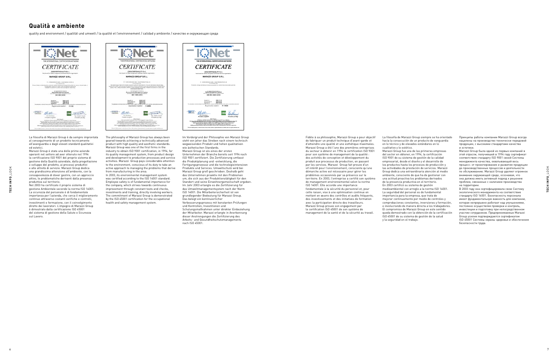quality and environment / qualität und umwelt / la qualité et l'environnement / calidad y ambiente / качество и oкружающая cреда



## **Qualità e ambiente**

THE INTERNATIONAL CERTIFICATION NETWORK

®

*CERTIFICATE*

has issued an IQNet recognised certificate that the organization: **MARAZZI GROUP S.R.L.** IT - 41049 SASSUOLO (MO) - VIALE REGINA PACIS, 39 Production, storage and delivery of spray-dry powered mix, ceramic tiles and procelain gres tiles. **Safety Management System** has implemented and maintains a which fulfills the requirements of the following standard **UNI ISO 45001:2018** 

THE INTERNATIONAL CERTIFICATION

Issued on: First issued on: Expires on:

**2020-11-19 2018-04-24 2021-04-23** This attestation is directly linked to the IQNet Partner's original certificate and shall not be used as a stand-alone document *Registration number:* **IT-119628**

**R**Net

La filosofia di Marazzi Group è da sempre improntata al conseguimento di un prodotto tecnicamente all'avanguardia e dagli elevati standard qualitativi ed estetici.

Marazzi Group è stata una delle prime aziende operanti nel settore ad aver ottenuto nel 1994 la certificazione ISO 9001 del proprio sistema di gestione della Qualità aziendale, dalla progettazione e sviluppo del prodotto, ai processi produttivi e alle attività di servizio. Marazzi Group dedica una grandissima attenzione all'ambiente, con la consapevolezza di dover gestire, con un approccio attivo, le problematiche derivanti dalla presenza produttiva sul territorio. Nel 2003 ha certificato il proprio sistema di

gestione Ambientale secondo la norma ISO 14001. La sicurezza del personale è di fondamentale importanza per l'azienda, che cerca il miglioramento continuo attraverso costanti verifiche e controlli, investimenti e formazione, con il coinvolgimento diretto dei lavoratori. L'impegno di Marazzi Group è dimostrato dalla certificazione ISO 45001 del sistema di gestione della Salute e Sicurezza sul Lavoro.



The philosophy of Marazzi Group has always been geared towards achieving a technically advanced product with high quality and aesthetic standards. Marazzi Group was one of the first firms in the industry to obtain ISO 9001 certification, in 1994, for its quality management system, from product design and development to production processes and service activities. Marazzi Group pays considerable attention to the environment, conscious of its duty to take an active approach to managing the problems that derive from manufacturing in the area.

In 2003, its environmental management system was certified according to the ISO 14001 standard. Employee safety is of fundamental importance for the company, which strives towards continuous improvement through constant tests and checks, investments and training, directly involving workers. The commitment of Marazzi Group is demonstrated by the ISO 45001 certification for the occupational health and safety management system.

*Alex Stoichitoiu President of IQNET* IQNet Partners\*: AENOR *Spain* AFNOR Certification *France* APCER *Portugal* CCC *Cyprus* CISQ *Italy* CUJC China CUJM China CUJS Careh Republic Cro Cart Cruatia DUS Holding CenbH Germany EAGLE Centification Georp USA<br>FCAV Breatl FONDENNA Viewandul RECOMPARE Inspects Sentificati Oy Floland INTECO Coats Real<br>IRAM Argentina I NYCE-SIGE *México* PCBC *Poland* Quality Austria *Austria* RR *Russia* SII *Israel* SIQ *Slovenia* SIRIM QAS International *Malaysia* SQS *Switzerland* SRAC *Romania* TEST St Petersburg *Russia* TSE *Turkey* YUQS *Serbia* \* The list of IQNet partners is valid at the time of issue of this certificate. Updated information is available under www.iqnet-certification.com *Ing. Mario Romersi President of CISQ*  RR This issued an IQM creater<br>
The interaction of the complete centrical traction operator<br>
T. 41049 SABSUCLO (MC) - VALE PROBA PACS, 39<br>
T. 41049 SABSUCLO (MC) - VALE PROBA PACS, 39<br>
Production, except and delivery of the p Im Vordergrund der Philosophie von Marazzi Group steht von jeher das Streben nach einem technisch wegweisenden Produkt und hohen qualitativen wie ästhetischen Standards. Marazzi Group ist als eines der ersten Unternehmen der Branche bereits seit 1994 nach ISO 9001 zertifiziert. Die Zertifizierung umfasst die Produktplanung und -entwicklung, die Fertigungsprozesse und die technologieintensiven Produkte und Services. Umweltschutz wird bei Marazzi Group groß geschrieben. Deshalb geht das Unternehmen proaktiv mit den Problemen um, die sich aus der Produktionstätigkeit für den Standort und seine Einwohnergemeinschaft ergeben. Im Jahr 2003 erlangte es die Zertifizierung für das Umweltmanagementsystem nach der Norm ISO 14001. Die Mitarbeitersicherheit ist von grundlegender Bedeutung für Marazzi Group. Das belegt ein kontinuierlicher Verbesserungsprozess mit konstanten Prüfungen und Kontrollen, Investitionen und Schulungsmaßnahmen unter direkter Einbeziehung der Mitarbeiter. Marazzi erlangte in Anerkennung dieser Anstrengungen die Zertifizierung des Arbeits- und Gesundheitschutzmanagements <sup>6</sup> <sup>7</sup> **TECH INFO**\_LOOK **TECH INFO**\_LOOK

nach ISO 45001.

Принципы работы компании Marazzi Group всегда нацелены на производство технически передовой продукции, с высокими стандартами качества и эстетики.

Marazzi Group была одной из первых компаний в этой отрасли, получившей в 1994 году сертификат соответствия стандарту ISO 9001 своей Системы менеджмента качества, охватывающей весь процесс: от проектирования и развития продукции до производственных процессов и деятельности по обслуживанию. Marazzi Group уделяет огромное внимание окружающей среде, осознавая, что она должна иметь активный подход к решению проблем, связанных с наличием производства на территории.

В 2003 году она сертифицировала свою Систему экологического менеджмента на соответствие стандарту ISO 14001. Безопасность персонала имеет фундаментальную важность для компании, которая непрерывно работает над улучшениями, постоянно осуществляя проверки и контроль, инвестиции и подготовку при непосредственном участии сотрудников. Предпринимаемые Marazzi Group усилия подтверждаются сертификатом ISO 45001 Системы охраны здоровья и обеспечения безопасности труда.

Fidèle à sa philosophie, Marazzi Group a pour objectif de fabriquer un produit technique d'avant-garde et d'atteindre une qualité et une esthétique maximales. Marazzi Group a été l'une des premières entreprises du secteur à obtenir en 1994 la certification ISO 9001 pour son système de management de la qualité : des activités de conception et développement du produit aux processus de production, en passant par les services. Marazzi Group fait preuve d'un vif intérêt pour l'environnement, consciente qu'une démarche active est nécessaire pour gérer les problèmes occasionnés par sa présence sur le territoire. En 2003, l'entreprise a certifié son système de management environnemental selon la norme ISO 14001. Elle accorde une importance fondamentale à la sécurité du personnel et, pour cette raison, vise à une optimisation continue en mettant en œuvre des contrôles et audits fréquents, des investissements et des initiatives de formation avec la participation directe des travailleurs. Marazzi Group prouve son engagement par la certification ISO 45001 de son système de management de la santé et de la sécurité au travail.

La filosofía de Marazzi Group siempre se ha orientado hacia la consecución de un producto de vanguardia en lo técnico y de elevados estándares en lo cualitativo y lo estético.

Marazzi Group fue una de las primeras empresas del sector en obtener, en 1994, la certificación ISO 9001 de su sistema de gestión de la calidad empresarial, desde el diseño y el desarrollo de los productos hasta los procesos de producción y las actividades de prestación de servicios. Marazzi Group dedica una extraordinaria atención al medio ambiente, consciente de que ha de gestionar con una actitud proactiva los problemas derivados de la presencia productiva en el territorio. En 2003 certificó su sistema de gestión medioambiental con arreglo a la norma ISO 14001. La seguridad del personal es de fundamental importancia para la empresa, que trata de mejorar continuamente por medio de controles y comprobaciones constantes, inversiones y formación, e involucrando de manera directa a los trabajadores. El compromiso de Marazzi Group en este sentido queda demostrado con la obtención de la certificación

ISO 45001 de su sistema de gestión de la salud y la seguridad en el trabajo.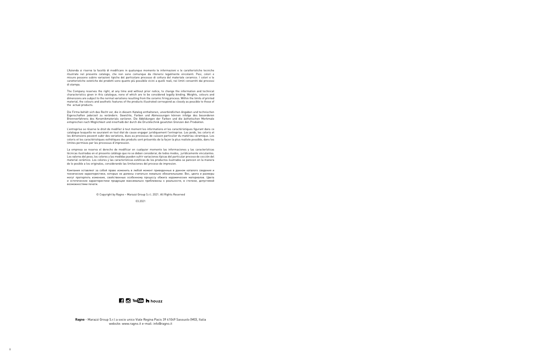L'Azienda si riserva la facoltà di modificare in qualunque momento le informazioni e le caratteristiche tecniche illustrate nel presente catalogo, che non sono comunque da ritenersi legalmente vincolanti. Pesi, colori e misure possono subire variazioni tipiche del particolare processo di cottura del materiale ceramico. I colori e le caratteristiche estetiche dei prodotti sono quanto più possibile vicini a quelli reali, nei limiti consentiti dai processi di stampa.

The Company reserves the right, at any time and without prior notice, to change the information and technical characteristics given in this catalogue, none of which are to be considered legally binding. Weights, colours and dimensions are subject to the normal variations resulting from the ceramic firing process. Within the limits of printed material, the colours and aesthetic features of the products illustrated correspond as closely as possible to those of the actual products.

Die Firma behält sich das Recht vor, die in diesem Katalog enthaltenen, unverbindlichen Angaben und technischen Eigenschaften jederzeit zu verändern. Gewichte, Farben und Abmessungen können infolge des besonderen Brennverfahrens des Keramikmaterials variieren. Die Abbildungen der Farben und die ästhetischen Merkmale entsprechen nach Möglichkeit und innerhalb der durch die Drucktechnik gesetzten Grenzen den Produkten.

L'entreprise se réserve le droit de modifier à tout moment les informations et les caractéristiques figurant dans ce catalogue lesquelle ne sauraient en tout état de cause engager juridiquement l'entreprise. Les poids, les coloris et les dimensions peuvent subir des variations, dues au processus de cuisson particulier du matériau céramique. Les coloris et les caractéristiques esthétiques des produits sont présentés de la façon la plus realiste possible, dans les limites permises par les processus d'impression.

La empresa se reserva el derecho de modificar en cualquier momento las informaciones y las características técnicas ilustradas en el presente catálogo que no se deben considerar, de todos modos, jurídicamente vinculantes. Los valores del peso, los colores y las medidas pueden sufrir variaciones típicas del particular proceso de cocción del material cerámico. Los colores y las características estéticas de los productos ilustrados se parecen en la manera de lo posible a los originales, considerando las limitaciones del proceso de impresion.

Компания оставляет за собой право изменить в любой момент приведенные в данном каталоге сведения и технические характеристики, которые не должны считаться леяально обязательными. Вес, цвета и размеры могут претерпеть изменеия, свойственные особенному процессу обжига керамических материалов. Цвета и эстетические характеристики продукции максимально приближены к реальности, в степени, допустимой возможностями печати.

© Copyright by Ragno – Marazzi Group S.r.l. 2021. All Rights Reserved

03.2021



**Ragno** - Marazzi Group S.r.l a socio unico Viale Regina Pacis 39 41049 Sassuolo (MO), Italia website: www.ragno.it e-mail: info@ragno.it

8